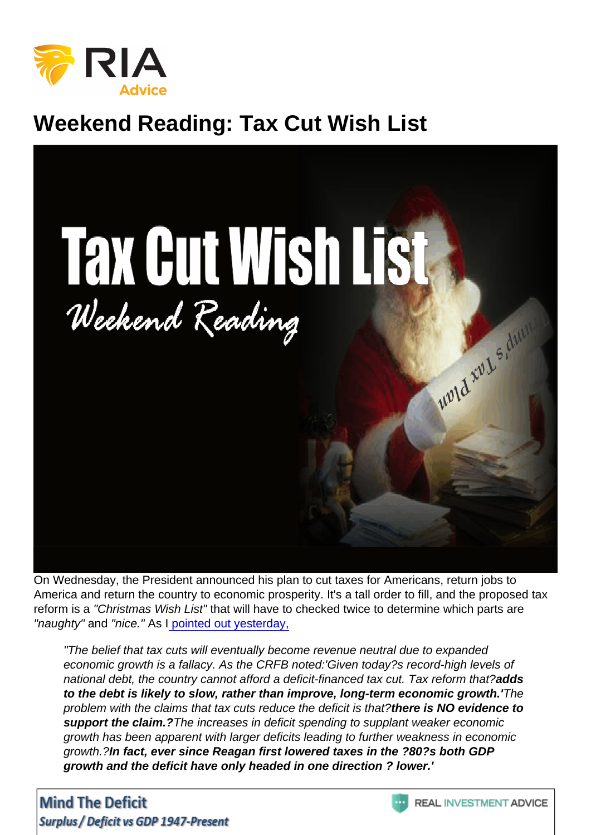## Weekend Reading: Tax Cut Wish List

On Wednesday, the President announced his plan to cut taxes for Americans, return jobs to America and return the country to economic prosperity. It's a tall order to fill, and the proposed tax reform is a "Christmas Wish List" that will have to checked twice to determine which parts are "naughty" and "nice." As I [pointed out yesterday,](https://realinvestmentadvice.com/the-trump-tax-plan-details-analysis/)

"The belief that tax cuts will eventually become revenue neutral due to expanded economic growth is a fallacy. As the CRFB noted:'Given today?s record-high levels of national debt, the country cannot afford a deficit-financed tax cut. Tax reform that?adds to the debt is likely to slow, rather than improve, long-term economic growth.' The problem with the claims that tax cuts reduce the deficit is that?there is NO evidence to support the claim.? The increases in deficit spending to supplant weaker economic growth has been apparent with larger deficits leading to further weakness in economic growth.?In fact, ever since Reagan first lowered taxes in the ?80?s both GDP growth and the deficit have only headed in one direction ? lower.'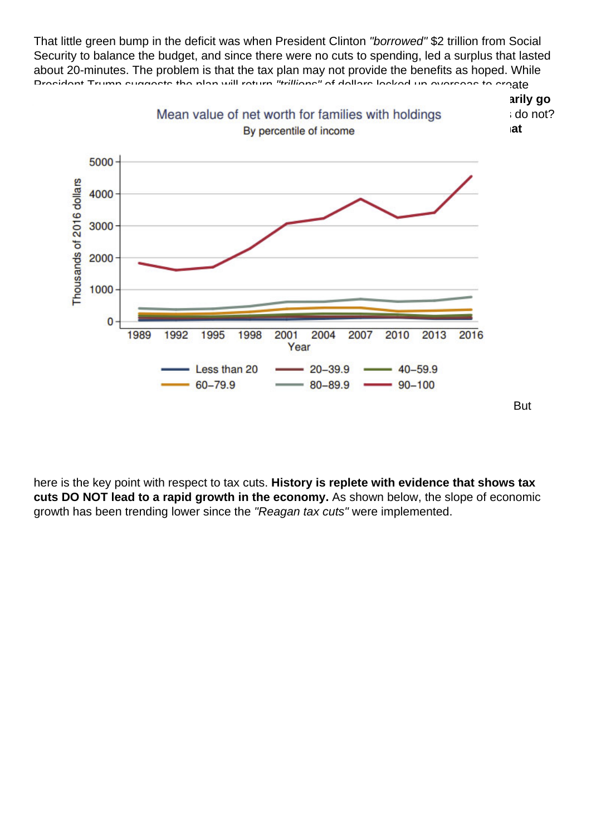That little green bump in the deficit was when President Clinton "borrowed" \$2 trillion from Social Security to balance the budget, and since there were no cuts to spending, led a surplus that lasted about 20-minutes. The problem is that the tax plan may not provide the benefits as hoped. While President Trump suggests the plan will return "trillions" of dollars locked up overseas to create jobs, the reality, according to Goldman Sachs, is likely closer to \$250 billion that will primarily go [to share buybacks, dividends, and executive compensation. ? Of course, such actions](https://realinvestmentadvice.com/wp-content/uploads/2017/09/Fed-Quintiles-Family-Holdings-092817.png) do not? boost economic growth but are a boon to Wall Street and the 10% of the economy that invest in the market.?

here is the key point with respect to tax cuts. History is replete with evidence that shows tax cuts DO NOT lead to a rapid growth in the economy. As shown below, the slope of economic growth has been trending lower since the "Reagan tax cuts" were implemented.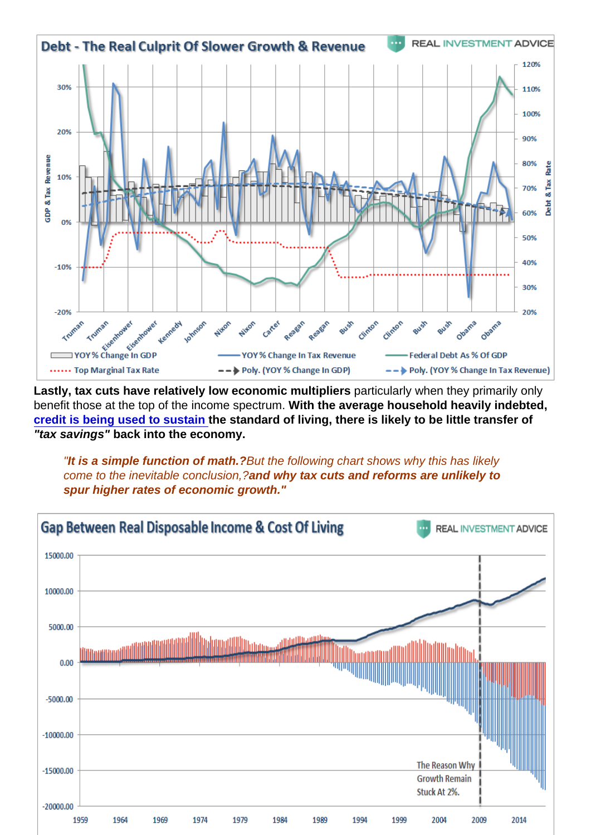Lastly, tax cuts have relatively low economic multipliers particularly when they primarily only benefit those at the top of the income spectrum. With the average household heavily indebted, [credit is being used to sustain](https://realinvestmentadvice.com/consumer-credit-the-american-conundrum/) the standard of living, there is likely to be little transfer of "tax savings" back into the economy.

"It is a simple function of math.? But the following chart shows why this has likely come to the inevitable conclusion,?and why tax cuts and reforms are unlikely to spur higher rates of economic growth."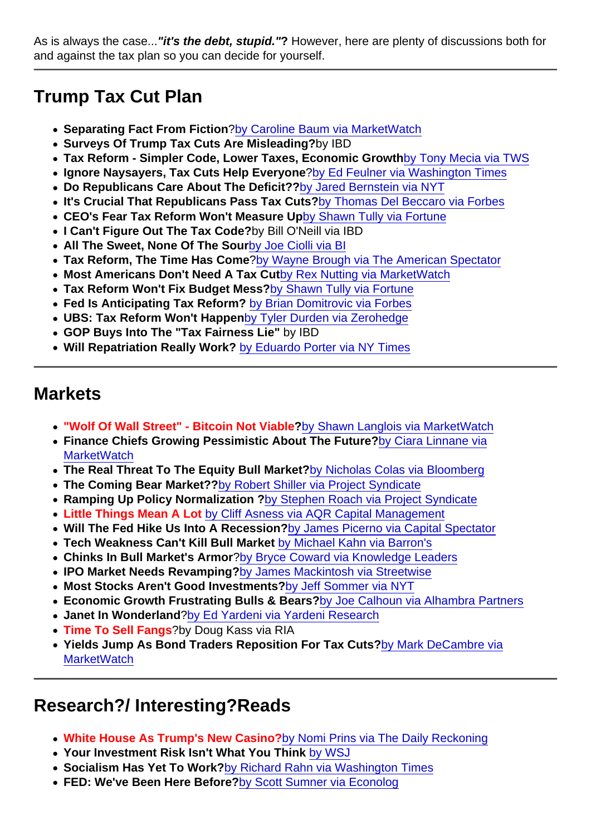As is always the case..."it's the debt, stupid." ? However, here are plenty of discussions both for and against the tax plan so you can decide for yourself.

## Trump Tax Cut Plan

- Separating Fact From Fiction ?[by Caroline Baum via MarketWatch](http://www.marketwatch.com/story/how-to-separate-fact-from-fiction-in-tax-reform-2017-09-27)
- Surveys Of Trump Tax Cuts Are Misleading? by IBD
- Tax Reform Simpler Code, Lower Taxes, Economic Growth [by Tony Mecia via TWS](http://www.weeklystandard.com/tax-reform-aims-to-simplify-the-code-slash-some-rates-boost-the-economy/article/2009841)
- Ignore Naysayers, Tax Cuts Help Everyone ?[by Ed Feulner via Washington Times](http://www.washingtontimes.com/news/2017/sep/25/tax-cut-for-all-americans-will-help-workers/)
- Do Republicans Care About The Deficit?? [by Jared Bernstein via NYT](https://www.nytimes.com/2017/09/26/opinion/do-republicans-really-care-about-the-deficit.html?mcubz=1&_r=0)
- It's Crucial That Republicans Pass Tax Cuts? [by Thomas Del Beccaro via Forbes](https://www.forbes.com/sites/thomasdelbeccaro/2017/09/20/who-needs-tax-reform-to-pass-more-america-or-the-republicans-in-congress/#1b2169d23c13)
- CEO's Fear Tax Reform Won't Measure Up [by Shawn Tully via Fortune](http://fortune.com/2017/09/27/ceos-worried-about-tax-reform-plan/)
- I Can't Figure Out The Tax Code? by Bill O'Neill via IBD
- All The Sweet, None Of The Sour [by Joe Ciolli via BI](http://www.businessinsider.com/trump-tax-reform-plan-wall-street-reaction-2017-9)
- Tax Reform, The Time Has Come [?by Wayne Brough via The American Spectator](https://spectator.org/tax-reform-an-idea-whose-time-has-come/)
- Most Americans Don't Need A Tax Cut [by Rex Nutting via MarketWatch](http://www.marketwatch.com/story/most-americans-dont-want-or-need-a-tax-cut-2017-09-27)
- Tax Reform Won't Fix Budget Mess? [by Shawn Tully via Fortune](http://fortune.com/2017/09/26/trump-tax-reform-plan-federal-budget-deficit/)
- Fed Is Anticipating Tax Reform? [by Brian Domitrovic via Forbes](https://www.forbes.com/sites/briandomitrovic/2017/09/26/the-fed-is-anticipating-tax-reform/#708948595eb0)
- UBS: Tax Reform Won't Happen [by Tyler Durden via Zerohedge](http://www.zerohedge.com/news/2017-09-28/market-gives-trump-tax-hope-gains-not-game-changer)
- GOP Buys Into The "Tax Fairness Lie" by IBD
- Will Repatriation Really Work? [by Eduardo Porter via NY Times](https://www.nytimes.com/2017/09/26/business/economy/corporate-tax.html?mcubz=1&_r=0)

## **Markets**

- "Wolf Of Wall Street" Bitcoin Not Viable ?[by Shawn Langlois via MarketWatch](http://www.marketwatch.com/story/the-wolf-of-wall-street-says-there-will-be-a-viable-crypto-but-it-wont-be-bitcoin-2017-09-28)
- Finance Chiefs Growing Pessimistic About The Future? [by Ciara Linnane via](http://www.marketwatch.com/story/finance-chiefs-are-becoming-increasingly-pessimistic-about-the-outlook-2017-09-22) **[MarketWatch](http://www.marketwatch.com/story/finance-chiefs-are-becoming-increasingly-pessimistic-about-the-outlook-2017-09-22)**
- The Real Threat To The Equity Bull Market? [by Nicholas Colas via Bloomberg](https://www.bloomberg.com/view/articles/2017-09-25/the-real-threats-to-the-equity-bull-market)
- The Coming Bear Market?? [by Robert Shiller via Project Syndicate](https://www.project-syndicate.org/commentary/us-stock-volatility-bear-market-by-robert-j--shiller-2017-09)
- Ramping Up Policy Normalization ? [by Stephen Roach via Project Syndicate](https://www.project-syndicate.org/commentary/faster-monetary-policy-normalization-by-stephen-s--roach-2017-09)
- Little Things Mean A Lot [by Cliff Asness via AQR Capital Management](https://www.aqr.com/cliffs-perspective/little-things-mean-a-lot)
- Will The Fed Hike Us Into A Recession? [by James Picerno via Capital Spectator](http://www.capitalspectator.com/will-the-feds-rate-hike-plans-eventually-trigger-a-recession/)
- Tech Weakness Can't Kill Bull Market [by Michael Kahn via Barron's](http://www.barrons.com/articles/techs-weakness-still-cant-kill-this-bull-market-1506541916)
- Chinks In Bull Market's Armor ?[by Bryce Coward via Knowledge Leaders](http://blog.knowledgeleaderscapital.com/?p=13540)
- IPO Market Needs Revamping? [by James Mackintosh via Streetwise](https://www.wsj.com/articles/the-modern-ipo-is-useless-lets-reinvent-it-1506361770)
- Most Stocks Aren't Good Investments? [by Jeff Sommer via NYT](https://www.nytimes.com/2017/09/22/business/apple-investment.html)
- Economic Growth Frustrating Bulls & Bears? [by Joe Calhoun via Alhambra Partners](http://www.alhambrapartners.com/2017/09/24/bi-weekly-economic-review-as-good-as-it-gets/)
- Janet In Wonderland ?[by Ed Yardeni via Yardeni Research](http://blog.yardeni.com/2017/09/janet-in-wonderland.html)
- Time To Sell Fangs ?by Doug Kass via RIA
- Yields Jump As Bond Traders Reposition For Tax Cuts? [by Mark DeCambre via](http://www.marketwatch.com/story/treasury-yields-jump-as-traders-position-for-higher-rates-2017-09-27) **[MarketWatch](http://www.marketwatch.com/story/treasury-yields-jump-as-traders-position-for-higher-rates-2017-09-27)**

## Research?/ Interesting?Reads

- White House As Trump's New Casino? [by Nomi Prins via The Daily Reckoning](https://dailyreckoning.com/white-house-donald-trump-casino/)
- Your Investment Risk Isn't What You Think [by WSJ](https://www.wsj.com/articles/your-tolerance-for-investment-risk-is-probably-not-what-you-think-1505096160)
- Socialism Has Yet To Work? [by Richard Rahn via Washington Times](http://www.washingtontimes.com/news/2017/sep/25/socialism-has-not-delivered-utopia/)
- FED: We've Been Here Before? [by Scott Sumner via Econolog](http://econlog.econlib.org/archives/2017/09/the_macroeconom_1.html)